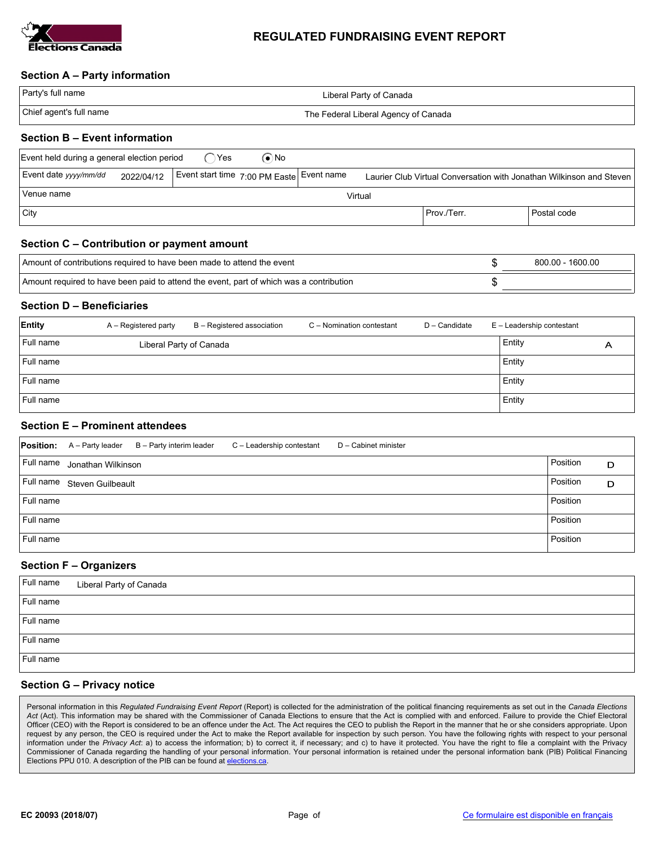

### REGULATED FUNDRAISING EVENT REPORT

#### Section A – Party information

| Party's full name                          | Liberal Party of Canada              |  |
|--------------------------------------------|--------------------------------------|--|
| Chief agent's full name                    | The Federal Liberal Agency of Canada |  |
| <b>Constitution P</b> roduct before at the |                                      |  |

#### Section B – Event information

| Event held during a general election period                                                                                                              |  | ∑ Yes | (●`No |  |               |             |
|----------------------------------------------------------------------------------------------------------------------------------------------------------|--|-------|-------|--|---------------|-------------|
| Event date yyyy/mm/dd<br>Event start time 7:00 PM Easte Event name<br>2022/04/12<br>Laurier Club Virtual Conversation with Jonathan Wilkinson and Steven |  |       |       |  |               |             |
| Venue name<br>Virtual                                                                                                                                    |  |       |       |  |               |             |
| $ $ City                                                                                                                                                 |  |       |       |  | l Prov./Terr. | Postal code |

## Section C – Contribution or payment amount

| Amount of contributions required to have been made to attend the event                  | 800.00 - 1600.00 |
|-----------------------------------------------------------------------------------------|------------------|
| Amount required to have been paid to attend the event, part of which was a contribution |                  |

## Section D – Beneficiaries

| Entity    | A – Registered party    | B - Registered association | C - Nomination contestant | D - Candidate | E - Leadership contestant |   |
|-----------|-------------------------|----------------------------|---------------------------|---------------|---------------------------|---|
| Full name | Liberal Party of Canada |                            |                           |               | Entity                    | A |
| Full name |                         |                            |                           |               | Entity                    |   |
| Full name |                         |                            |                           |               | Entity                    |   |
| Full name |                         |                            |                           |               | Entity                    |   |

# Section E – Prominent attendees

| <b>Position:</b> | A - Party leader   | B - Party interim leader | C - Leadership contestant | D - Cabinet minister |          |   |
|------------------|--------------------|--------------------------|---------------------------|----------------------|----------|---|
| Full name        | Jonathan Wilkinson |                          |                           |                      | Position | D |
| Full name        | Steven Guilbeault  |                          |                           |                      | Position | D |
| Full name        |                    |                          |                           |                      | Position |   |
| Full name        |                    |                          |                           |                      | Position |   |
| Full name        |                    |                          |                           |                      | Position |   |

### Section F – Organizers

| Full name | Liberal Party of Canada |
|-----------|-------------------------|
| Full name |                         |
| Full name |                         |
| Full name |                         |
| Full name |                         |

# Section G – Privacy notice

Personal information in this Regulated Fundraising Event Report (Report) is collected for the administration of the political financing requirements as set out in the Canada Elections Act (Act). This information may be shared with the Commissioner of Canada Elections to ensure that the Act is complied with and enforced. Failure to provide the Chief Electoral Officer (CEO) with the Report is considered to be an offence under the Act. The Act requires the CEO to publish the Report in the manner that he or she considers appropriate. Upon request by any person, the CEO is required under the Act to make the Report available for inspection by such person. You have the following rights with respect to your personal information under the Privacy Act: a) to access the information; b) to correct it, if necessary; and c) to have it protected. You have the right to file a complaint with the Privacy Commissioner of Canada regarding the handling of your personal information. Your personal information is retained under the personal information bank (PIB) Political Financing Elections PPU 010. A description of the PIB can be found at elections.ca.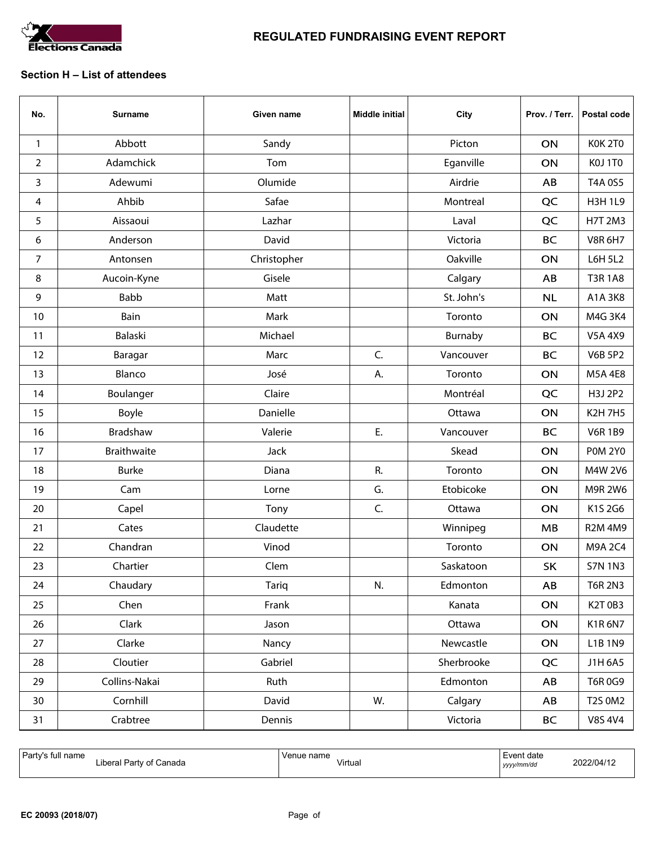

#### Section H – List of attendees

| No.            | <b>Surname</b> | Given name   | <b>Middle initial</b> | City       | Prov. / Terr. | Postal code    |
|----------------|----------------|--------------|-----------------------|------------|---------------|----------------|
| $\mathbf{1}$   | Abbott         | Sandy        |                       | Picton     | ON            | KOK 2TO        |
| $\overline{2}$ | Adamchick      | Tom          |                       | Eganville  | ON            | KOJ 1TO        |
| 3              | Adewumi        | Olumide      |                       | Airdrie    | AB            | T4A 0S5        |
| 4              | Ahbib          | Safae        |                       | Montreal   | QC            | <b>H3H1L9</b>  |
| 5              | Aissaoui       | Lazhar       |                       | Laval      | QC            | <b>H7T 2M3</b> |
| 6              | Anderson       | David        |                       | Victoria   | <b>BC</b>     | <b>V8R 6H7</b> |
| 7              | Antonsen       | Christopher  |                       | Oakville   | ON            | <b>L6H 5L2</b> |
| 8              | Aucoin-Kyne    | Gisele       |                       | Calgary    | AB            | <b>T3R1A8</b>  |
| 9              | Babb           | Matt         |                       | St. John's | <b>NL</b>     | A1A 3K8        |
| 10             | Bain           | Mark         |                       | Toronto    | ON            | M4G 3K4        |
| 11             | Balaski        | Michael      |                       | Burnaby    | <b>BC</b>     | <b>V5A 4X9</b> |
| 12             | Baragar        | Marc         | C.                    | Vancouver  | <b>BC</b>     | <b>V6B 5P2</b> |
| 13             | Blanco         | José         | А.                    | Toronto    | ON            | <b>M5A4E8</b>  |
| 14             | Boulanger      | Claire       |                       | Montréal   | QC            | H3J 2P2        |
| 15             | Boyle          | Danielle     |                       | Ottawa     | ON            | <b>K2H7H5</b>  |
| 16             | Bradshaw       | Valerie      | Ε.                    | Vancouver  | <b>BC</b>     | <b>V6R1B9</b>  |
| 17             | Braithwaite    | Jack         |                       | Skead      | ON            | <b>POM 2Y0</b> |
| 18             | <b>Burke</b>   | Diana        | R.                    | Toronto    | ON            | M4W 2V6        |
| 19             | Cam            | Lorne        | G.                    | Etobicoke  | ON            | M9R 2W6        |
| 20             | Capel          | Tony         | C.                    | Ottawa     | ON            | K1S 2G6        |
| 21             | Cates          | Claudette    |                       | Winnipeg   | MB            | <b>R2M 4M9</b> |
| 22             | Chandran       | Vinod        |                       | Toronto    | ON            | M9A 2C4        |
| 23             | Chartier       | Clem         |                       | Saskatoon  | <b>SK</b>     | <b>S7N 1N3</b> |
| 24             | Chaudary       | <b>Tariq</b> | N.                    | Edmonton   | AB            | <b>T6R 2N3</b> |
| 25             | Chen           | Frank        |                       | Kanata     | ON            | K2T0B3         |
| 26             | Clark          | Jason        |                       | Ottawa     | ON            | <b>K1R6N7</b>  |
| 27             | Clarke         | Nancy        |                       | Newcastle  | ON            | L1B 1N9        |
| 28             | Cloutier       | Gabriel      |                       | Sherbrooke | QC            | J1H 6A5        |
| 29             | Collins-Nakai  | Ruth         |                       | Edmonton   | AB            | T6R0G9         |
| 30             | Cornhill       | David        | W.                    | Calgary    | AB            | T2S 0M2        |
| 31             | Crabtree       | Dennis       |                       | Victoria   | <b>BC</b>     | <b>V8S 4V4</b> |

| <sup>1</sup> Party's full name<br><br>√ of Canada<br>Dorty<br>∟ibera!∟<br>arrv | Venue name<br>Virtual | Event date<br>yyyy/mm/dd | 2022/04/1. |
|--------------------------------------------------------------------------------|-----------------------|--------------------------|------------|
|--------------------------------------------------------------------------------|-----------------------|--------------------------|------------|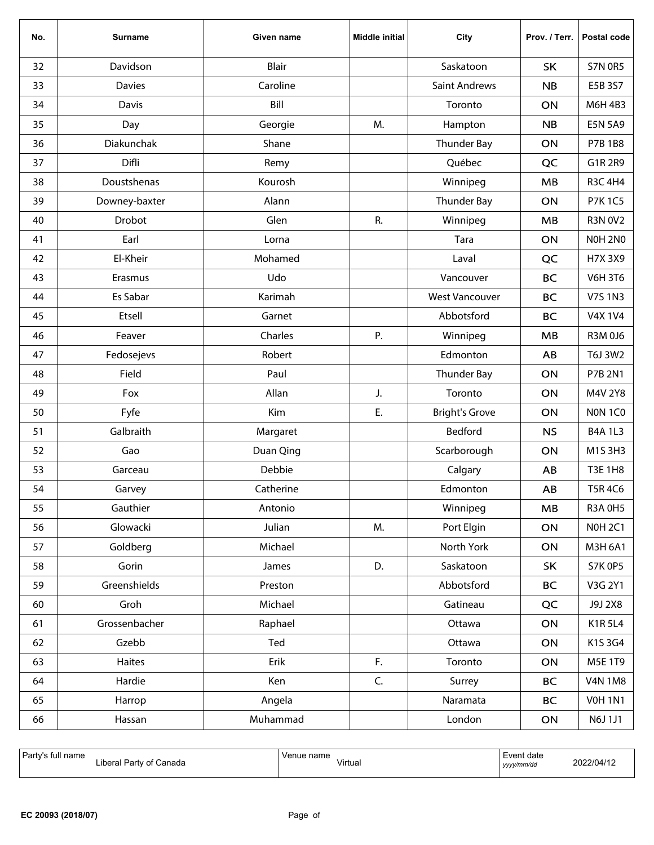| No. | <b>Surname</b>  | Given name   | <b>Middle initial</b> | City                  | Prov. / Terr. | Postal code    |
|-----|-----------------|--------------|-----------------------|-----------------------|---------------|----------------|
| 32  | Davidson        | <b>Blair</b> |                       | Saskatoon             | <b>SK</b>     | <b>S7N 0R5</b> |
| 33  | <b>Davies</b>   | Caroline     |                       | <b>Saint Andrews</b>  | <b>NB</b>     | E5B 3S7        |
| 34  | Davis           | Bill         |                       | Toronto               | ON            | M6H 4B3        |
| 35  | Day             | Georgie      | M.                    | Hampton               | <b>NB</b>     | <b>E5N 5A9</b> |
| 36  | Diakunchak      | Shane        |                       | Thunder Bay           | ON            | <b>P7B 1B8</b> |
| 37  | Difli           | Remy         |                       | Québec                | QC            | G1R 2R9        |
| 38  | Doustshenas     | Kourosh      |                       | Winnipeg              | MB            | <b>R3C 4H4</b> |
| 39  | Downey-baxter   | Alann        |                       | <b>Thunder Bay</b>    | ON            | <b>P7K1C5</b>  |
| 40  | Drobot          | Glen         | R.                    | Winnipeg              | MB            | <b>R3N 0V2</b> |
| 41  | Earl            | Lorna        |                       | Tara                  | ON            | <b>NOH 2NO</b> |
| 42  | El-Kheir        | Mohamed      |                       | Laval                 | QC            | H7X 3X9        |
| 43  | Erasmus         | Udo          |                       | Vancouver             | <b>BC</b>     | <b>V6H 3T6</b> |
| 44  | <b>Es Sabar</b> | Karimah      |                       | <b>West Vancouver</b> | <b>BC</b>     | <b>V7S1N3</b>  |
| 45  | Etsell          | Garnet       |                       | Abbotsford            | <b>BC</b>     | <b>V4X 1V4</b> |
| 46  | Feaver          | Charles      | P.                    | Winnipeg              | MB            | R3M 0J6        |
| 47  | Fedosejevs      | Robert       |                       | Edmonton              | AB            | T6J 3W2        |
| 48  | Field           | Paul         |                       | <b>Thunder Bay</b>    | ON            | P7B 2N1        |
| 49  | Fox             | Allan        | J.                    | Toronto               | <b>ON</b>     | M4V 2Y8        |
| 50  | Fyfe            | Kim          | E.                    | <b>Bright's Grove</b> | ON            | NON 1CO        |
| 51  | Galbraith       | Margaret     |                       | Bedford               | <b>NS</b>     | <b>B4A 1L3</b> |
| 52  | Gao             | Duan Qing    |                       | Scarborough           | ON            | M1S 3H3        |
| 53  | Garceau         | Debbie       |                       | Calgary               | AB            | <b>T3E 1H8</b> |
| 54  | Garvey          | Catherine    |                       | Edmonton              | AB            | <b>T5R4C6</b>  |
| 55  | Gauthier        | Antonio      |                       | Winnipeg              | MB            | <b>R3A 0H5</b> |
| 56  | Glowacki        | Julian       | M.                    | Port Elgin            | ON            | <b>NOH 2C1</b> |
| 57  | Goldberg        | Michael      |                       | North York            | ON            | M3H 6A1        |
| 58  | Gorin           | James        | D.                    | Saskatoon             | <b>SK</b>     | <b>S7K 0P5</b> |
| 59  | Greenshields    | Preston      |                       | Abbotsford            | <b>BC</b>     | V3G 2Y1        |
| 60  | Groh            | Michael      |                       | Gatineau              | QC            | J9J 2X8        |
| 61  | Grossenbacher   | Raphael      |                       | Ottawa                | ON            | <b>K1R5L4</b>  |
| 62  | Gzebb           | Ted          |                       | Ottawa                | ON            | K1S 3G4        |
| 63  | Haites          | Erik         | F.                    | Toronto               | ON            | M5E 1T9        |
| 64  | Hardie          | Ken          | C.                    | Surrey                | <b>BC</b>     | <b>V4N 1M8</b> |
| 65  | Harrop          | Angela       |                       | Naramata              | <b>BC</b>     | <b>V0H1N1</b>  |
| 66  | Hassan          | Muhammad     |                       | London                | ON            | N6J 1J1        |

| ' Part<br>name<br>` tu.<br>.<br>Partv<br>Canada<br>∟ıber'<br>Ωt | Venue name<br>Virtual | vent date:<br>.<br>yyyy/mm/dd | 1022/04/1 |
|-----------------------------------------------------------------|-----------------------|-------------------------------|-----------|
|-----------------------------------------------------------------|-----------------------|-------------------------------|-----------|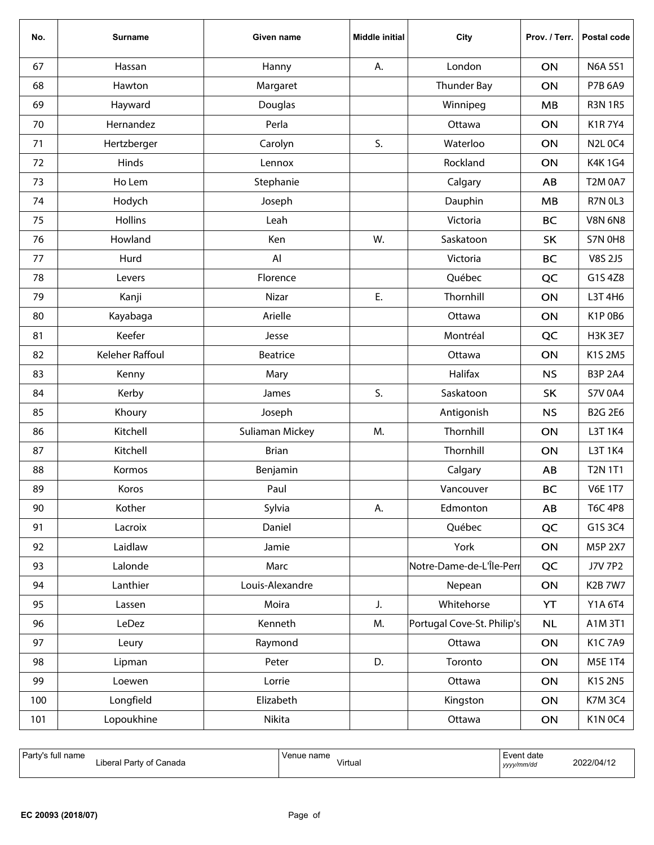| No. | <b>Surname</b>  | Given name      | <b>Middle initial</b> | City                       | Prov. / Terr. | Postal code    |
|-----|-----------------|-----------------|-----------------------|----------------------------|---------------|----------------|
| 67  | Hassan          | Hanny           | А.                    | London                     | ON            | <b>N6A 5S1</b> |
| 68  | Hawton          | Margaret        |                       | Thunder Bay                | ON            | P7B 6A9        |
| 69  | Hayward         | Douglas         |                       | Winnipeg                   | MB            | <b>R3N 1R5</b> |
| 70  | Hernandez       | Perla           |                       | Ottawa                     | ON            | <b>K1R7Y4</b>  |
| 71  | Hertzberger     | Carolyn         | S.                    | Waterloo                   | ON            | <b>N2L 0C4</b> |
| 72  | Hinds           | Lennox          |                       | Rockland                   | ON            | K4K 1G4        |
| 73  | Ho Lem          | Stephanie       |                       | Calgary                    | AB            | <b>T2M 0A7</b> |
| 74  | Hodych          | Joseph          |                       | Dauphin                    | MB            | <b>R7N 0L3</b> |
| 75  | <b>Hollins</b>  | Leah            |                       | Victoria                   | <b>BC</b>     | <b>V8N 6N8</b> |
| 76  | Howland         | Ken             | W.                    | Saskatoon                  | <b>SK</b>     | <b>S7N 0H8</b> |
| 77  | Hurd            | Al              |                       | Victoria                   | <b>BC</b>     | V8S 2J5        |
| 78  | Levers          | Florence        |                       | Québec                     | QC            | G1S 4Z8        |
| 79  | Kanji           | Nizar           | Ε.                    | Thornhill                  | ON            | L3T 4H6        |
| 80  | Kayabaga        | Arielle         |                       | Ottawa                     | ON            | K1P 0B6        |
| 81  | Keefer          | Jesse           |                       | Montréal                   | QC            | <b>H3K 3E7</b> |
| 82  | Keleher Raffoul | Beatrice        |                       | Ottawa                     | ON            | K1S 2M5        |
| 83  | Kenny           | Mary            |                       | Halifax                    | <b>NS</b>     | <b>B3P 2A4</b> |
| 84  | Kerby           | James           | S.                    | Saskatoon                  | <b>SK</b>     | <b>S7V 0A4</b> |
| 85  | Khoury          | Joseph          |                       | Antigonish                 | <b>NS</b>     | <b>B2G 2E6</b> |
| 86  | Kitchell        | Suliaman Mickey | M.                    | Thornhill                  | ON            | L3T 1K4        |
| 87  | Kitchell        | <b>Brian</b>    |                       | Thornhill                  | ON            | L3T 1K4        |
| 88  | Kormos          | Benjamin        |                       | Calgary                    | AB            | <b>T2N 1T1</b> |
| 89  | Koros           | Paul            |                       | Vancouver                  | <b>BC</b>     | <b>V6E 1T7</b> |
| 90  | Kother          | Sylvia          | А.                    | Edmonton                   | AB            | <b>T6C 4P8</b> |
| 91  | Lacroix         | Daniel          |                       | Québec                     | QC            | G1S 3C4        |
| 92  | Laidlaw         | Jamie           |                       | York                       | ON            | M5P 2X7        |
| 93  | Lalonde         | Marc            |                       | Notre-Dame-de-L'Île-Perr   | QC            | <b>J7V 7P2</b> |
| 94  | Lanthier        | Louis-Alexandre |                       | Nepean                     | ON            | K2B 7W7        |
| 95  | Lassen          | Moira           | J.                    | Whitehorse                 | YT            | Y1A 6T4        |
| 96  | LeDez           | Kenneth         | M.                    | Portugal Cove-St. Philip's | NL            | A1M 3T1        |
| 97  | Leury           | Raymond         |                       | Ottawa                     | ON            | K1C7A9         |
| 98  | Lipman          | Peter           | D.                    | Toronto                    | ON            | M5E 1T4        |
| 99  | Loewen          | Lorrie          |                       | Ottawa                     | ON            | K1S 2N5        |
| 100 | Longfield       | Elizabeth       |                       | Kingston                   | ON            | <b>K7M3C4</b>  |
| 101 | Lopoukhine      | Nikita          |                       | Ottawa                     | ON            | <b>K1N 0C4</b> |

| ' Party<br>; full name<br>.<br>Canada<br>Party of Q<br>∟ibera'<br>. | Venue name<br>Virtual | Event date<br>$\sim$<br>yyyy/mm/dd | 2022/04/12 |
|---------------------------------------------------------------------|-----------------------|------------------------------------|------------|
|---------------------------------------------------------------------|-----------------------|------------------------------------|------------|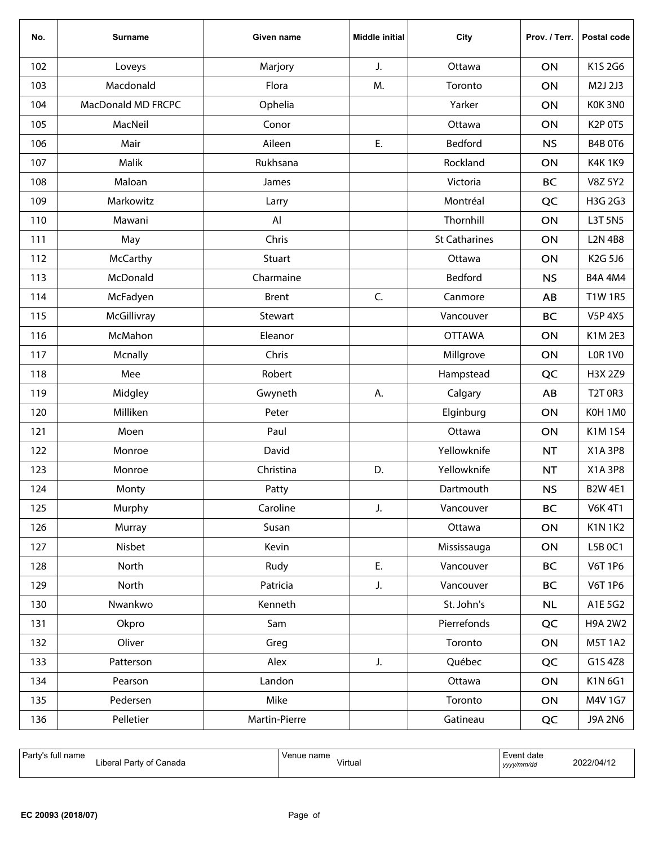| No. | <b>Surname</b>     | Given name    | <b>Middle initial</b> | City                 | Prov. / Terr. | Postal code    |
|-----|--------------------|---------------|-----------------------|----------------------|---------------|----------------|
| 102 | Loveys             | Marjory       | J.                    | Ottawa               | ON            | K1S 2G6        |
| 103 | Macdonald          | Flora         | M.                    | Toronto              | ON            | M2J 2J3        |
| 104 | MacDonald MD FRCPC | Ophelia       |                       | Yarker               | ON            | KOK 3NO        |
| 105 | MacNeil            | Conor         |                       | Ottawa               | ON            | K2P 0T5        |
| 106 | Mair               | Aileen        | Ε.                    | <b>Bedford</b>       | <b>NS</b>     | <b>B4B 0T6</b> |
| 107 | Malik              | Rukhsana      |                       | Rockland             | ON            | <b>K4K1K9</b>  |
| 108 | Maloan             | James         |                       | Victoria             | <b>BC</b>     | <b>V8Z 5Y2</b> |
| 109 | Markowitz          | Larry         |                       | Montréal             | QC            | H3G 2G3        |
| 110 | Mawani             | Al            |                       | Thornhill            | ON            | L3T 5N5        |
| 111 | May                | Chris         |                       | <b>St Catharines</b> | ON            | <b>L2N 4B8</b> |
| 112 | McCarthy           | Stuart        |                       | Ottawa               | ON            | K2G 5J6        |
| 113 | McDonald           | Charmaine     |                       | Bedford              | <b>NS</b>     | <b>B4A 4M4</b> |
| 114 | McFadyen           | <b>Brent</b>  | C.                    | Canmore              | AB            | <b>T1W1R5</b>  |
| 115 | McGillivray        | Stewart       |                       | Vancouver            | <b>BC</b>     | <b>V5P 4X5</b> |
| 116 | McMahon            | Eleanor       |                       | <b>OTTAWA</b>        | ON            | K1M 2E3        |
| 117 | Mcnally            | Chris         |                       | Millgrove            | ON            | <b>LOR 1V0</b> |
| 118 | Mee                | Robert        |                       | Hampstead            | QC            | H3X 2Z9        |
| 119 | Midgley            | Gwyneth       | А.                    | Calgary              | AB            | <b>T2T 0R3</b> |
| 120 | Milliken           | Peter         |                       | Elginburg            | ON            | K0H1M0         |
| 121 | Moen               | Paul          |                       | Ottawa               | ON            | K1M1S4         |
| 122 | Monroe             | David         |                       | Yellowknife          | <b>NT</b>     | X1A 3P8        |
| 123 | Monroe             | Christina     | D.                    | Yellowknife          | NT            | X1A 3P8        |
| 124 | Monty              | Patty         |                       | Dartmouth            | <b>NS</b>     | <b>B2W 4E1</b> |
| 125 | Murphy             | Caroline      | J.                    | Vancouver            | <b>BC</b>     | <b>V6K 4T1</b> |
| 126 | Murray             | Susan         |                       | Ottawa               | ON            | <b>K1N1K2</b>  |
| 127 | Nisbet             | Kevin         |                       | Mississauga          | ON            | L5B 0C1        |
| 128 | North              | Rudy          | E.                    | Vancouver            | <b>BC</b>     | <b>V6T 1P6</b> |
| 129 | North              | Patricia      | J.                    | Vancouver            | <b>BC</b>     | <b>V6T 1P6</b> |
| 130 | Nwankwo            | Kenneth       |                       | St. John's           | <b>NL</b>     | A1E 5G2        |
| 131 | Okpro              | Sam           |                       | Pierrefonds          | QC            | <b>H9A 2W2</b> |
| 132 | Oliver             | Greg          |                       | Toronto              | ON            | M5T 1A2        |
| 133 | Patterson          | Alex          | J.                    | Québec               | QC            | G1S 4Z8        |
| 134 | Pearson            | Landon        |                       | Ottawa               | ON            | K1N 6G1        |
| 135 | Pedersen           | Mike          |                       | Toronto              | ON            | M4V 1G7        |
| 136 | Pelletier          | Martin-Pierre |                       | Gatineau             | QC            | J9A 2N6        |

| ' P∍ri<br>name<br>` Tu.<br>.<br>Partv<br>_ıber<br>.anada<br>Ωt<br>.<br>. | name<br>Venue<br>Virtua<br>. | :vent date<br>vyyy/mm/da<br>,,,, | 22/04/1 |
|--------------------------------------------------------------------------|------------------------------|----------------------------------|---------|
|--------------------------------------------------------------------------|------------------------------|----------------------------------|---------|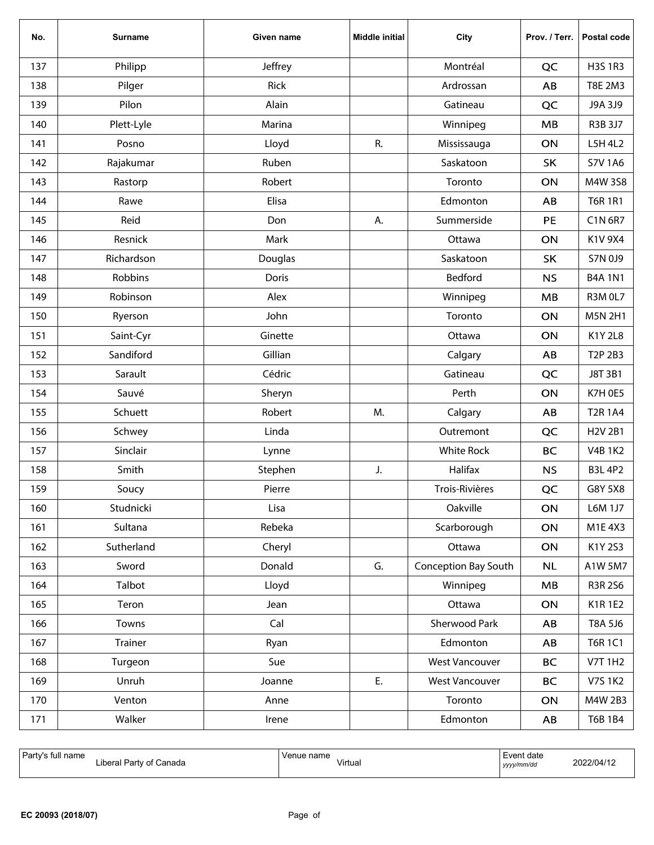| No. | <b>Surname</b> | Given name | <b>Middle initial</b> | City                  | Prov. / Terr. | Postal code    |
|-----|----------------|------------|-----------------------|-----------------------|---------------|----------------|
| 137 | Philipp        | Jeffrey    |                       | Montréal              | QC            | <b>H3S 1R3</b> |
| 138 | Pilger         | Rick       |                       | Ardrossan             | AB            | T8E 2M3        |
| 139 | Pilon          | Alain      |                       | Gatineau              | QC            | J9A 3J9        |
| 140 | Plett-Lyle     | Marina     |                       | Winnipeg              | MB            | R3B 3J7        |
| 141 | Posno          | Lloyd      | R.                    | Mississauga           | ON            | L5H 4L2        |
| 142 | Rajakumar      | Ruben      |                       | Saskatoon             | SK            | <b>S7V 1A6</b> |
| 143 | Rastorp        | Robert     |                       | Toronto               | ON            | M4W 3S8        |
| 144 | Rawe           | Elisa      |                       | Edmonton              | AB            | <b>T6R 1R1</b> |
| 145 | Reid           | Don        | А.                    | Summerside            | PE            | C1N 6R7        |
| 146 | Resnick        | Mark       |                       | Ottawa                | ON            | K1V 9X4        |
| 147 | Richardson     | Douglas    |                       | Saskatoon             | <b>SK</b>     | S7N 0J9        |
| 148 | Robbins        | Doris      |                       | Bedford               | <b>NS</b>     | <b>B4A 1N1</b> |
| 149 | Robinson       | Alex       |                       | Winnipeg              | MB            | <b>R3M 0L7</b> |
| 150 | Ryerson        | John       |                       | Toronto               | ON            | <b>M5N 2H1</b> |
| 151 | Saint-Cyr      | Ginette    |                       | Ottawa                | ON            | <b>K1Y2L8</b>  |
| 152 | Sandiford      | Gillian    |                       | Calgary               | AB            | T2P 2B3        |
| 153 | Sarault        | Cédric     |                       | Gatineau              | QC            | J8T 3B1        |
| 154 | Sauvé          | Sheryn     |                       | Perth                 | ON            | K7H 0E5        |
| 155 | Schuett        | Robert     | M.                    | Calgary               | AB            | <b>T2R1A4</b>  |
| 156 | Schwey         | Linda      |                       | Outremont             | QC            | H2V 2B1        |
| 157 | Sinclair       | Lynne      |                       | <b>White Rock</b>     | <b>BC</b>     | <b>V4B 1K2</b> |
| 158 | Smith          | Stephen    | J.                    | Halifax               | <b>NS</b>     | <b>B3L 4P2</b> |
| 159 | Soucy          | Pierre     |                       | Trois-Rivières        | QC            | G8Y 5X8        |
| 160 | Studnicki      | Lisa       |                       | Oakville              | ON            | L6M 1J7        |
| 161 | Sultana        | Rebeka     |                       | Scarborough           | ON            | M1E 4X3        |
| 162 | Sutherland     | Cheryl     |                       | Ottawa                | ON            | K1Y 2S3        |
| 163 | Sword          | Donald     | G.                    | Conception Bay South  | <b>NL</b>     | A1W 5M7        |
| 164 | Talbot         | Lloyd      |                       | Winnipeg              | MB            | R3R 2S6        |
| 165 | Teron          | Jean       |                       | Ottawa                | ON            | K1R1E2         |
| 166 | Towns          | Cal        |                       | Sherwood Park         | AB            | T8A 5J6        |
| 167 | Trainer        | Ryan       |                       | Edmonton              | AB            | <b>T6R 1C1</b> |
| 168 | Turgeon        | Sue        |                       | <b>West Vancouver</b> | <b>BC</b>     | <b>V7T 1H2</b> |
| 169 | Unruh          | Joanne     | E.                    | <b>West Vancouver</b> | <b>BC</b>     | <b>V7S 1K2</b> |
| 170 | Venton         | Anne       |                       | Toronto               | ON            | M4W 2B3        |
| 171 | Walker         | Irene      |                       | Edmonton              | AB            | T6B 1B4        |

| ' Party<br>tull name<br>$\cdots$<br>' Partv of Canada<br>Libera'<br>. | Venue name<br>$\mathbf{r}$<br>Virtual | Event date<br>yyyy/mm/dd | 2022/04/12 |
|-----------------------------------------------------------------------|---------------------------------------|--------------------------|------------|
|-----------------------------------------------------------------------|---------------------------------------|--------------------------|------------|